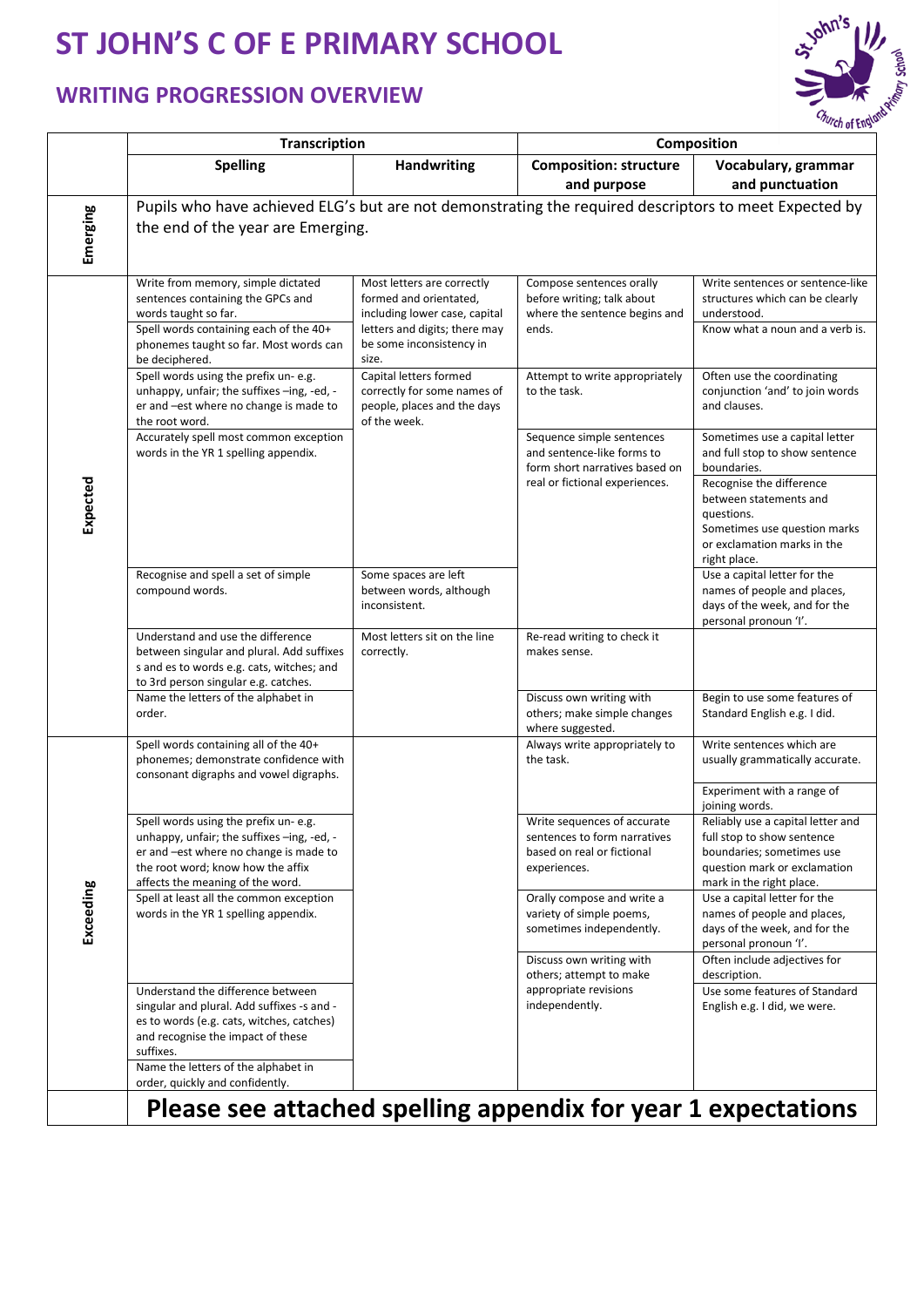## **ST JOHN'S C OF E PRIMARY SCHOOL**

## **WRITING PROGRESSION OVERVIEW**



|           | <b>Transcription</b>                                                                                                                                                                                                                                     |                                                                                                                                                             | Composition                                                                                                                 |                                                                                                                                                                                                                                    |  |  |
|-----------|----------------------------------------------------------------------------------------------------------------------------------------------------------------------------------------------------------------------------------------------------------|-------------------------------------------------------------------------------------------------------------------------------------------------------------|-----------------------------------------------------------------------------------------------------------------------------|------------------------------------------------------------------------------------------------------------------------------------------------------------------------------------------------------------------------------------|--|--|
|           | <b>Spelling</b>                                                                                                                                                                                                                                          | <b>Handwriting</b>                                                                                                                                          | <b>Composition: structure</b><br>and purpose                                                                                | Vocabulary, grammar<br>and punctuation                                                                                                                                                                                             |  |  |
| Emerging  | Pupils who have achieved ELG's but are not demonstrating the required descriptors to meet Expected by<br>the end of the year are Emerging.                                                                                                               |                                                                                                                                                             |                                                                                                                             |                                                                                                                                                                                                                                    |  |  |
|           | Write from memory, simple dictated<br>sentences containing the GPCs and<br>words taught so far.<br>Spell words containing each of the 40+<br>phonemes taught so far. Most words can<br>be deciphered.                                                    | Most letters are correctly<br>formed and orientated,<br>including lower case, capital<br>letters and digits; there may<br>be some inconsistency in<br>size. | Compose sentences orally<br>before writing; talk about<br>where the sentence begins and<br>ends.                            | Write sentences or sentence-like<br>structures which can be clearly<br>understood.<br>Know what a noun and a verb is.                                                                                                              |  |  |
| Expected  | Spell words using the prefix un- e.g.<br>unhappy, unfair; the suffixes -ing, -ed, -<br>er and -est where no change is made to<br>the root word.                                                                                                          | Capital letters formed<br>correctly for some names of<br>people, places and the days<br>of the week.                                                        | Attempt to write appropriately<br>to the task.                                                                              | Often use the coordinating<br>conjunction 'and' to join words<br>and clauses.                                                                                                                                                      |  |  |
|           | Accurately spell most common exception<br>words in the YR 1 spelling appendix.                                                                                                                                                                           |                                                                                                                                                             | Sequence simple sentences<br>and sentence-like forms to<br>form short narratives based on<br>real or fictional experiences. | Sometimes use a capital letter<br>and full stop to show sentence<br>boundaries.<br>Recognise the difference<br>between statements and<br>questions.<br>Sometimes use question marks<br>or exclamation marks in the<br>right place. |  |  |
|           | Recognise and spell a set of simple<br>compound words.                                                                                                                                                                                                   | Some spaces are left<br>between words, although<br>inconsistent.                                                                                            |                                                                                                                             | Use a capital letter for the<br>names of people and places,<br>days of the week, and for the<br>personal pronoun 'I'.                                                                                                              |  |  |
|           | Understand and use the difference<br>between singular and plural. Add suffixes<br>s and es to words e.g. cats, witches; and<br>to 3rd person singular e.g. catches.                                                                                      | Most letters sit on the line<br>correctly.                                                                                                                  | Re-read writing to check it<br>makes sense.                                                                                 |                                                                                                                                                                                                                                    |  |  |
|           | Name the letters of the alphabet in<br>order.                                                                                                                                                                                                            |                                                                                                                                                             | Discuss own writing with<br>others; make simple changes<br>where suggested.                                                 | Begin to use some features of<br>Standard English e.g. I did.                                                                                                                                                                      |  |  |
|           | Spell words containing all of the 40+<br>phonemes; demonstrate confidence with<br>consonant digraphs and vowel digraphs.                                                                                                                                 |                                                                                                                                                             | Always write appropriately to<br>the task.                                                                                  | Write sentences which are<br>usually grammatically accurate.                                                                                                                                                                       |  |  |
| Exceeding | Spell words using the prefix un-e.g.<br>unhappy, unfair; the suffixes -ing, -ed, -<br>er and -est where no change is made to<br>the root word; know how the affix<br>affects the meaning of the word.                                                    |                                                                                                                                                             | Write sequences of accurate<br>sentences to form narratives<br>based on real or fictional<br>experiences.                   | Experiment with a range of<br>joining words.<br>Reliably use a capital letter and<br>full stop to show sentence<br>boundaries; sometimes use<br>question mark or exclamation<br>mark in the right place.                           |  |  |
|           | Spell at least all the common exception<br>words in the YR 1 spelling appendix.                                                                                                                                                                          |                                                                                                                                                             | Orally compose and write a<br>variety of simple poems,<br>sometimes independently.                                          | Use a capital letter for the<br>names of people and places,<br>days of the week, and for the<br>personal pronoun 'I'.                                                                                                              |  |  |
|           | Understand the difference between<br>singular and plural. Add suffixes -s and -<br>es to words (e.g. cats, witches, catches)<br>and recognise the impact of these<br>suffixes.<br>Name the letters of the alphabet in<br>order, quickly and confidently. |                                                                                                                                                             | Discuss own writing with<br>others; attempt to make<br>appropriate revisions<br>independently.                              | Often include adjectives for<br>description.<br>Use some features of Standard<br>English e.g. I did, we were.                                                                                                                      |  |  |
|           | Please see attached spelling appendix for year 1 expectations                                                                                                                                                                                            |                                                                                                                                                             |                                                                                                                             |                                                                                                                                                                                                                                    |  |  |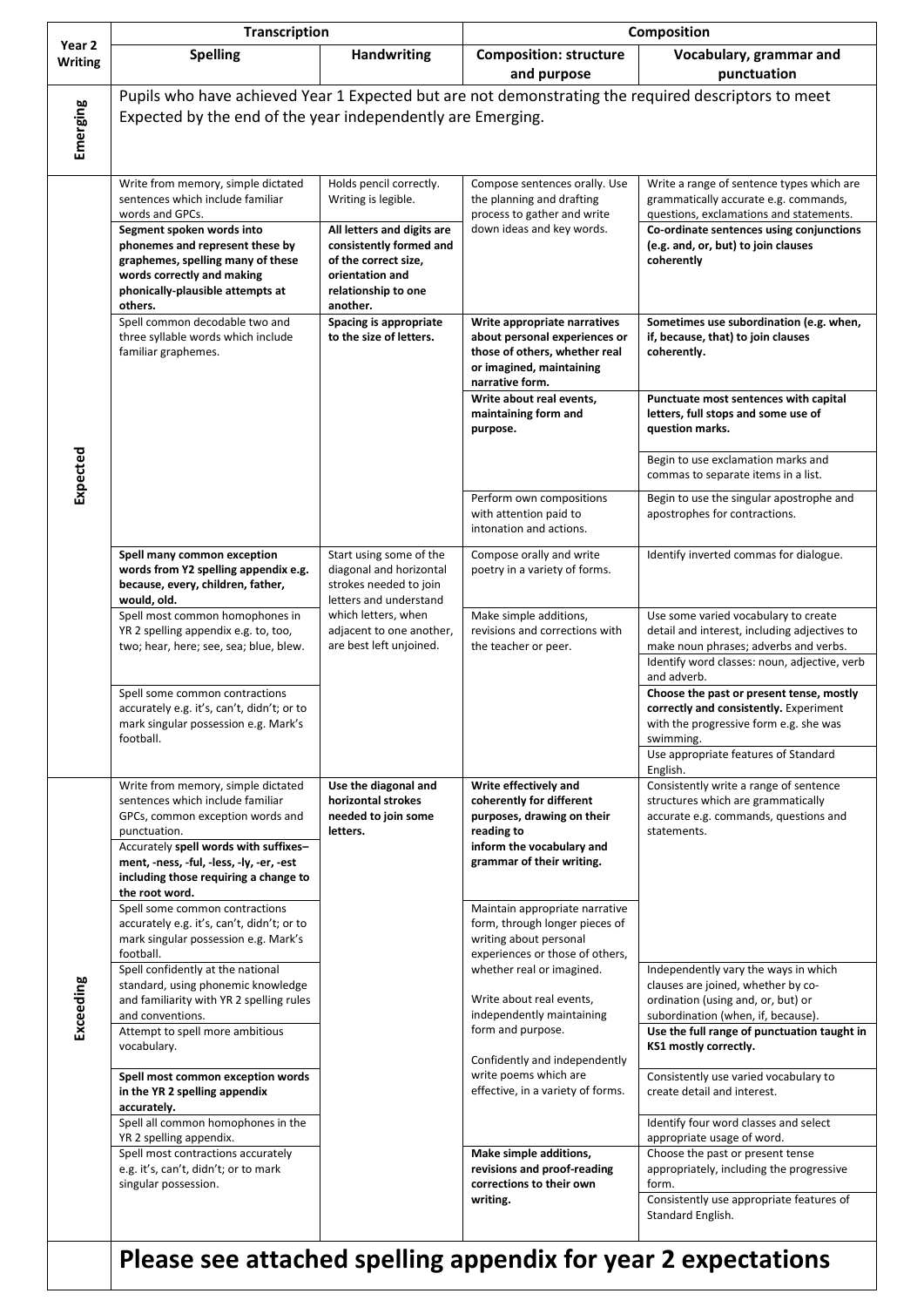|                          | <b>Transcription</b>                                                                                                                                                                                                                                                       |                                                                                                                                     | <b>Composition</b>                                                                                                                                                                                                                                                                                                                                                                                                                       |                                                                                                                                                                                                       |  |  |
|--------------------------|----------------------------------------------------------------------------------------------------------------------------------------------------------------------------------------------------------------------------------------------------------------------------|-------------------------------------------------------------------------------------------------------------------------------------|------------------------------------------------------------------------------------------------------------------------------------------------------------------------------------------------------------------------------------------------------------------------------------------------------------------------------------------------------------------------------------------------------------------------------------------|-------------------------------------------------------------------------------------------------------------------------------------------------------------------------------------------------------|--|--|
| Year 2<br><b>Writing</b> | <b>Spelling</b>                                                                                                                                                                                                                                                            | <b>Handwriting</b>                                                                                                                  | <b>Composition: structure</b><br>and purpose                                                                                                                                                                                                                                                                                                                                                                                             | Vocabulary, grammar and<br>punctuation                                                                                                                                                                |  |  |
| Emerging                 | Pupils who have achieved Year 1 Expected but are not demonstrating the required descriptors to meet<br>Expected by the end of the year independently are Emerging.                                                                                                         |                                                                                                                                     |                                                                                                                                                                                                                                                                                                                                                                                                                                          |                                                                                                                                                                                                       |  |  |
|                          | Write from memory, simple dictated<br>sentences which include familiar<br>words and GPCs.                                                                                                                                                                                  | Holds pencil correctly.<br>Writing is legible.                                                                                      | Compose sentences orally. Use<br>the planning and drafting<br>process to gather and write                                                                                                                                                                                                                                                                                                                                                | Write a range of sentence types which are<br>grammatically accurate e.g. commands,<br>questions, exclamations and statements.                                                                         |  |  |
|                          | Segment spoken words into<br>phonemes and represent these by<br>graphemes, spelling many of these<br>words correctly and making<br>phonically-plausible attempts at<br>others.                                                                                             | All letters and digits are<br>consistently formed and<br>of the correct size,<br>orientation and<br>relationship to one<br>another. | down ideas and key words.                                                                                                                                                                                                                                                                                                                                                                                                                | Co-ordinate sentences using conjunctions<br>(e.g. and, or, but) to join clauses<br>coherently                                                                                                         |  |  |
|                          | Spell common decodable two and<br>three syllable words which include<br>familiar graphemes.                                                                                                                                                                                | Spacing is appropriate<br>to the size of letters.                                                                                   | Write appropriate narratives<br>about personal experiences or<br>those of others, whether real<br>or imagined, maintaining<br>narrative form.                                                                                                                                                                                                                                                                                            | Sometimes use subordination (e.g. when,<br>if, because, that) to join clauses<br>coherently.                                                                                                          |  |  |
|                          |                                                                                                                                                                                                                                                                            |                                                                                                                                     | Write about real events,<br>maintaining form and<br>purpose.                                                                                                                                                                                                                                                                                                                                                                             | Punctuate most sentences with capital<br>letters, full stops and some use of<br>question marks.                                                                                                       |  |  |
| Expected                 |                                                                                                                                                                                                                                                                            |                                                                                                                                     |                                                                                                                                                                                                                                                                                                                                                                                                                                          | Begin to use exclamation marks and<br>commas to separate items in a list.                                                                                                                             |  |  |
|                          |                                                                                                                                                                                                                                                                            |                                                                                                                                     | Perform own compositions<br>with attention paid to<br>intonation and actions.                                                                                                                                                                                                                                                                                                                                                            | Begin to use the singular apostrophe and<br>apostrophes for contractions.                                                                                                                             |  |  |
|                          | Spell many common exception<br>words from Y2 spelling appendix e.g.<br>because, every, children, father,<br>would, old.                                                                                                                                                    | Start using some of the<br>diagonal and horizontal<br>strokes needed to join<br>letters and understand                              | Compose orally and write<br>poetry in a variety of forms.                                                                                                                                                                                                                                                                                                                                                                                | Identify inverted commas for dialogue.                                                                                                                                                                |  |  |
|                          | Spell most common homophones in<br>YR 2 spelling appendix e.g. to, too,<br>two; hear, here; see, sea; blue, blew.                                                                                                                                                          | which letters, when<br>adjacent to one another,<br>are best left unjoined.                                                          | Make simple additions,<br>revisions and corrections with<br>the teacher or peer.                                                                                                                                                                                                                                                                                                                                                         | Use some varied vocabulary to create<br>detail and interest, including adjectives to<br>make noun phrases; adverbs and verbs.<br>Identify word classes: noun, adjective, verb                         |  |  |
|                          | Spell some common contractions<br>accurately e.g. it's, can't, didn't; or to<br>mark singular possession e.g. Mark's<br>football.                                                                                                                                          |                                                                                                                                     |                                                                                                                                                                                                                                                                                                                                                                                                                                          | and adverb.<br>Choose the past or present tense, mostly<br>correctly and consistently. Experiment<br>with the progressive form e.g. she was<br>swimming.                                              |  |  |
|                          |                                                                                                                                                                                                                                                                            |                                                                                                                                     |                                                                                                                                                                                                                                                                                                                                                                                                                                          | Use appropriate features of Standard<br>English.                                                                                                                                                      |  |  |
| Exceeding                | Write from memory, simple dictated<br>sentences which include familiar<br>GPCs, common exception words and<br>punctuation.<br>Accurately spell words with suffixes-<br>ment, -ness, -ful, -less, -ly, -er, -est<br>including those requiring a change to<br>the root word. | Use the diagonal and<br>horizontal strokes<br>needed to join some<br>letters.                                                       | Write effectively and<br>coherently for different<br>purposes, drawing on their<br>reading to<br>inform the vocabulary and<br>grammar of their writing.                                                                                                                                                                                                                                                                                  | Consistently write a range of sentence<br>structures which are grammatically<br>accurate e.g. commands, questions and<br>statements.                                                                  |  |  |
|                          | Spell some common contractions<br>accurately e.g. it's, can't, didn't; or to<br>mark singular possession e.g. Mark's<br>football.                                                                                                                                          |                                                                                                                                     | Maintain appropriate narrative<br>form, through longer pieces of<br>writing about personal<br>experiences or those of others,<br>whether real or imagined.<br>Write about real events,<br>independently maintaining<br>form and purpose.<br>Confidently and independently<br>write poems which are<br>effective, in a variety of forms.<br>Make simple additions,<br>revisions and proof-reading<br>corrections to their own<br>writing. |                                                                                                                                                                                                       |  |  |
|                          | Spell confidently at the national<br>standard, using phonemic knowledge<br>and familiarity with YR 2 spelling rules<br>and conventions.<br>Attempt to spell more ambitious                                                                                                 |                                                                                                                                     |                                                                                                                                                                                                                                                                                                                                                                                                                                          | Independently vary the ways in which<br>clauses are joined, whether by co-<br>ordination (using and, or, but) or<br>subordination (when, if, because).<br>Use the full range of punctuation taught in |  |  |
|                          | vocabulary.                                                                                                                                                                                                                                                                |                                                                                                                                     |                                                                                                                                                                                                                                                                                                                                                                                                                                          | KS1 mostly correctly.                                                                                                                                                                                 |  |  |
|                          | Spell most common exception words<br>in the YR 2 spelling appendix<br>accurately.                                                                                                                                                                                          |                                                                                                                                     |                                                                                                                                                                                                                                                                                                                                                                                                                                          | Consistently use varied vocabulary to<br>create detail and interest.                                                                                                                                  |  |  |
|                          | Spell all common homophones in the<br>YR 2 spelling appendix.                                                                                                                                                                                                              |                                                                                                                                     |                                                                                                                                                                                                                                                                                                                                                                                                                                          | Identify four word classes and select<br>appropriate usage of word.                                                                                                                                   |  |  |
|                          | Spell most contractions accurately<br>e.g. it's, can't, didn't; or to mark<br>singular possession.                                                                                                                                                                         |                                                                                                                                     |                                                                                                                                                                                                                                                                                                                                                                                                                                          | Choose the past or present tense<br>appropriately, including the progressive<br>form.                                                                                                                 |  |  |
|                          |                                                                                                                                                                                                                                                                            |                                                                                                                                     |                                                                                                                                                                                                                                                                                                                                                                                                                                          | Consistently use appropriate features of<br>Standard English.                                                                                                                                         |  |  |
|                          | Please see attached spelling appendix for year 2 expectations                                                                                                                                                                                                              |                                                                                                                                     |                                                                                                                                                                                                                                                                                                                                                                                                                                          |                                                                                                                                                                                                       |  |  |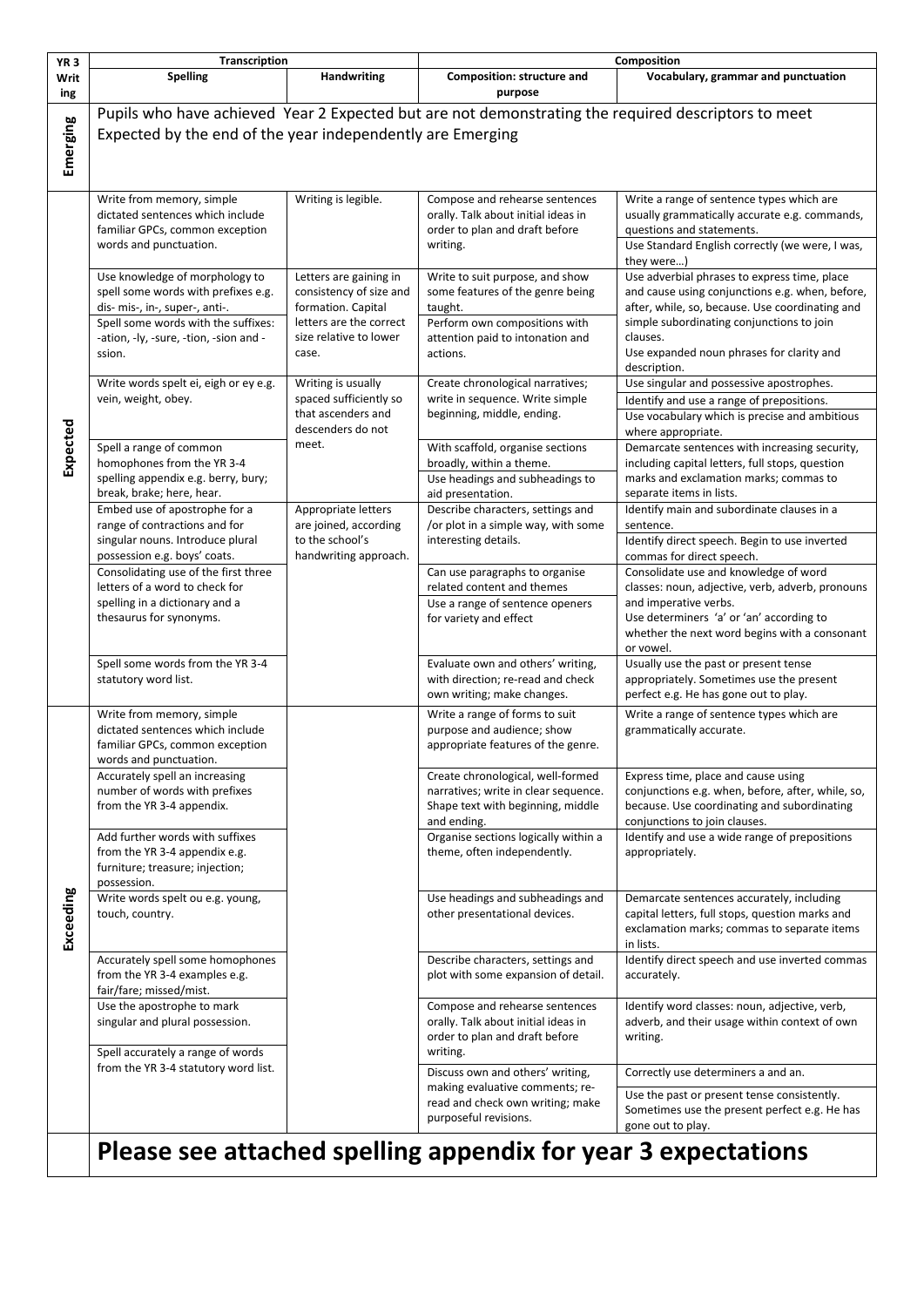| YR <sub>3</sub> | Transcription                                                                                                                                                                                      |                                                                                                                                       | Composition                                                                                                                                                     |                                                                                                                                                                                                                                                                                        |  |
|-----------------|----------------------------------------------------------------------------------------------------------------------------------------------------------------------------------------------------|---------------------------------------------------------------------------------------------------------------------------------------|-----------------------------------------------------------------------------------------------------------------------------------------------------------------|----------------------------------------------------------------------------------------------------------------------------------------------------------------------------------------------------------------------------------------------------------------------------------------|--|
| Writ<br>ing     | <b>Spelling</b>                                                                                                                                                                                    | <b>Handwriting</b>                                                                                                                    | Composition: structure and<br>purpose                                                                                                                           | Vocabulary, grammar and punctuation                                                                                                                                                                                                                                                    |  |
| Emerging        | Pupils who have achieved Year 2 Expected but are not demonstrating the required descriptors to meet<br>Expected by the end of the year independently are Emerging                                  |                                                                                                                                       |                                                                                                                                                                 |                                                                                                                                                                                                                                                                                        |  |
|                 |                                                                                                                                                                                                    |                                                                                                                                       |                                                                                                                                                                 |                                                                                                                                                                                                                                                                                        |  |
|                 | Write from memory, simple<br>dictated sentences which include<br>familiar GPCs, common exception<br>words and punctuation.                                                                         | Writing is legible.                                                                                                                   | Compose and rehearse sentences<br>orally. Talk about initial ideas in<br>order to plan and draft before<br>writing.                                             | Write a range of sentence types which are<br>usually grammatically accurate e.g. commands,<br>questions and statements.<br>Use Standard English correctly (we were, I was,                                                                                                             |  |
|                 | Use knowledge of morphology to<br>spell some words with prefixes e.g.<br>dis- mis-, in-, super-, anti-.<br>Spell some words with the suffixes:<br>-ation, -ly, -sure, -tion, -sion and -<br>ssion. | Letters are gaining in<br>consistency of size and<br>formation. Capital<br>letters are the correct<br>size relative to lower<br>case. | Write to suit purpose, and show<br>some features of the genre being<br>taught.<br>Perform own compositions with<br>attention paid to intonation and<br>actions. | they were)<br>Use adverbial phrases to express time, place<br>and cause using conjunctions e.g. when, before,<br>after, while, so, because. Use coordinating and<br>simple subordinating conjunctions to join<br>clauses.<br>Use expanded noun phrases for clarity and<br>description. |  |
|                 | Write words spelt ei, eigh or ey e.g.                                                                                                                                                              | Writing is usually                                                                                                                    | Create chronological narratives;                                                                                                                                | Use singular and possessive apostrophes.                                                                                                                                                                                                                                               |  |
|                 | vein, weight, obey.                                                                                                                                                                                | spaced sufficiently so<br>that ascenders and<br>descenders do not                                                                     | write in sequence. Write simple<br>beginning, middle, ending.                                                                                                   | Identify and use a range of prepositions.<br>Use vocabulary which is precise and ambitious<br>where appropriate.                                                                                                                                                                       |  |
| Expected        | Spell a range of common<br>homophones from the YR 3-4<br>spelling appendix e.g. berry, bury;<br>break, brake; here, hear.                                                                          | meet.                                                                                                                                 | With scaffold, organise sections<br>broadly, within a theme.<br>Use headings and subheadings to<br>aid presentation.                                            | Demarcate sentences with increasing security,<br>including capital letters, full stops, question<br>marks and exclamation marks; commas to<br>separate items in lists.                                                                                                                 |  |
|                 | Embed use of apostrophe for a<br>range of contractions and for<br>singular nouns. Introduce plural                                                                                                 | Appropriate letters<br>are joined, according<br>to the school's                                                                       | Describe characters, settings and<br>/or plot in a simple way, with some<br>interesting details.                                                                | Identify main and subordinate clauses in a<br>sentence.<br>Identify direct speech. Begin to use inverted                                                                                                                                                                               |  |
|                 | possession e.g. boys' coats.<br>Consolidating use of the first three<br>letters of a word to check for                                                                                             | handwriting approach.                                                                                                                 | Can use paragraphs to organise<br>related content and themes                                                                                                    | commas for direct speech.<br>Consolidate use and knowledge of word<br>classes: noun, adjective, verb, adverb, pronouns                                                                                                                                                                 |  |
|                 | spelling in a dictionary and a<br>thesaurus for synonyms.                                                                                                                                          |                                                                                                                                       | Use a range of sentence openers<br>for variety and effect                                                                                                       | and imperative verbs.<br>Use determiners 'a' or 'an' according to<br>whether the next word begins with a consonant<br>or vowel.                                                                                                                                                        |  |
|                 | Spell some words from the YR 3-4<br>statutory word list.                                                                                                                                           |                                                                                                                                       | Evaluate own and others' writing,<br>with direction; re-read and check<br>own writing; make changes.                                                            | Usually use the past or present tense<br>appropriately. Sometimes use the present<br>perfect e.g. He has gone out to play.                                                                                                                                                             |  |
|                 | Write from memory, simple<br>dictated sentences which include<br>familiar GPCs, common exception<br>words and punctuation.                                                                         |                                                                                                                                       | Write a range of forms to suit<br>purpose and audience; show<br>appropriate features of the genre.                                                              | Write a range of sentence types which are<br>grammatically accurate.                                                                                                                                                                                                                   |  |
|                 | Accurately spell an increasing<br>number of words with prefixes<br>from the YR 3-4 appendix.                                                                                                       |                                                                                                                                       | Create chronological, well-formed<br>narratives; write in clear sequence.<br>Shape text with beginning, middle<br>and ending.                                   | Express time, place and cause using<br>conjunctions e.g. when, before, after, while, so,<br>because. Use coordinating and subordinating<br>conjunctions to join clauses.                                                                                                               |  |
| Exceeding       | Add further words with suffixes<br>from the YR 3-4 appendix e.g.<br>furniture; treasure; injection;<br>possession.                                                                                 |                                                                                                                                       | Organise sections logically within a<br>theme, often independently.                                                                                             | Identify and use a wide range of prepositions<br>appropriately.                                                                                                                                                                                                                        |  |
|                 | Write words spelt ou e.g. young,<br>touch, country.                                                                                                                                                |                                                                                                                                       | Use headings and subheadings and<br>other presentational devices.                                                                                               | Demarcate sentences accurately, including<br>capital letters, full stops, question marks and<br>exclamation marks; commas to separate items<br>in lists.                                                                                                                               |  |
|                 | Accurately spell some homophones<br>from the YR 3-4 examples e.g.<br>fair/fare; missed/mist.                                                                                                       |                                                                                                                                       | Describe characters, settings and<br>plot with some expansion of detail.                                                                                        | Identify direct speech and use inverted commas<br>accurately.                                                                                                                                                                                                                          |  |
|                 | Use the apostrophe to mark<br>singular and plural possession.<br>Spell accurately a range of words                                                                                                 |                                                                                                                                       | Compose and rehearse sentences<br>orally. Talk about initial ideas in<br>order to plan and draft before<br>writing.                                             | Identify word classes: noun, adjective, verb,<br>adverb, and their usage within context of own<br>writing.                                                                                                                                                                             |  |
|                 | from the YR 3-4 statutory word list.                                                                                                                                                               |                                                                                                                                       | Discuss own and others' writing,                                                                                                                                | Correctly use determiners a and an.                                                                                                                                                                                                                                                    |  |
|                 |                                                                                                                                                                                                    |                                                                                                                                       | making evaluative comments; re-<br>read and check own writing; make<br>purposeful revisions.                                                                    | Use the past or present tense consistently.<br>Sometimes use the present perfect e.g. He has<br>gone out to play.                                                                                                                                                                      |  |
|                 | Please see attached spelling appendix for year 3 expectations                                                                                                                                      |                                                                                                                                       |                                                                                                                                                                 |                                                                                                                                                                                                                                                                                        |  |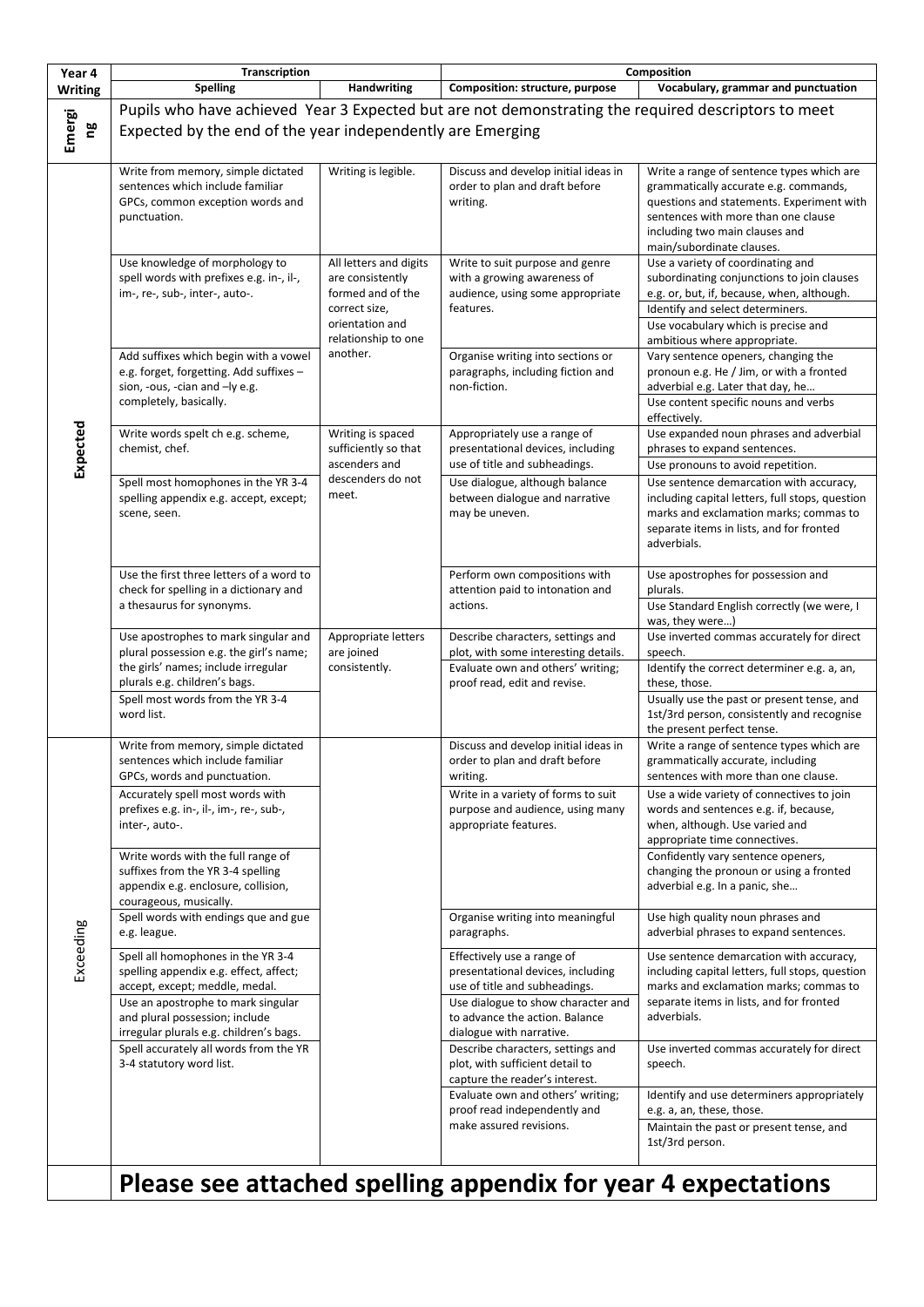| Year 4         | <b>Transcription</b>                                                                                                                                                                                                              |                                                                                                                                        | Composition                                                                                                                                                                                          |                                                                                                                                                                                                                                          |  |
|----------------|-----------------------------------------------------------------------------------------------------------------------------------------------------------------------------------------------------------------------------------|----------------------------------------------------------------------------------------------------------------------------------------|------------------------------------------------------------------------------------------------------------------------------------------------------------------------------------------------------|------------------------------------------------------------------------------------------------------------------------------------------------------------------------------------------------------------------------------------------|--|
| <b>Writing</b> | <b>Spelling</b>                                                                                                                                                                                                                   | Handwriting                                                                                                                            | Composition: structure, purpose                                                                                                                                                                      | Vocabulary, grammar and punctuation                                                                                                                                                                                                      |  |
|                | Pupils who have achieved Year 3 Expected but are not demonstrating the required descriptors to meet                                                                                                                               |                                                                                                                                        |                                                                                                                                                                                                      |                                                                                                                                                                                                                                          |  |
| Emergi<br>ρg   | Expected by the end of the year independently are Emerging                                                                                                                                                                        |                                                                                                                                        |                                                                                                                                                                                                      |                                                                                                                                                                                                                                          |  |
| Expected       | Write from memory, simple dictated<br>sentences which include familiar<br>GPCs, common exception words and<br>punctuation.                                                                                                        | Writing is legible.                                                                                                                    | Discuss and develop initial ideas in<br>order to plan and draft before<br>writing.                                                                                                                   | Write a range of sentence types which are<br>grammatically accurate e.g. commands,<br>questions and statements. Experiment with<br>sentences with more than one clause<br>including two main clauses and<br>main/subordinate clauses.    |  |
|                | Use knowledge of morphology to<br>spell words with prefixes e.g. in-, il-,<br>im-, re-, sub-, inter-, auto-.                                                                                                                      | All letters and digits<br>are consistently<br>formed and of the<br>correct size,<br>orientation and<br>relationship to one<br>another. | Write to suit purpose and genre<br>with a growing awareness of<br>audience, using some appropriate<br>features.                                                                                      | Use a variety of coordinating and<br>subordinating conjunctions to join clauses<br>e.g. or, but, if, because, when, although.<br>Identify and select determiners.<br>Use vocabulary which is precise and<br>ambitious where appropriate. |  |
|                | Add suffixes which begin with a vowel<br>e.g. forget, forgetting. Add suffixes -<br>sion, -ous, -cian and -ly e.g.<br>completely, basically.                                                                                      |                                                                                                                                        | Organise writing into sections or<br>paragraphs, including fiction and<br>non-fiction.                                                                                                               | Vary sentence openers, changing the<br>pronoun e.g. He / Jim, or with a fronted<br>adverbial e.g. Later that day, he<br>Use content specific nouns and verbs<br>effectively.                                                             |  |
|                | Write words spelt ch e.g. scheme,<br>chemist, chef.                                                                                                                                                                               | Writing is spaced<br>sufficiently so that<br>ascenders and<br>descenders do not<br>meet.                                               | Appropriately use a range of<br>presentational devices, including<br>use of title and subheadings.                                                                                                   | Use expanded noun phrases and adverbial<br>phrases to expand sentences.<br>Use pronouns to avoid repetition.                                                                                                                             |  |
|                | Spell most homophones in the YR 3-4<br>spelling appendix e.g. accept, except;<br>scene, seen.                                                                                                                                     |                                                                                                                                        | Use dialogue, although balance<br>between dialogue and narrative<br>may be uneven.                                                                                                                   | Use sentence demarcation with accuracy,<br>including capital letters, full stops, question<br>marks and exclamation marks; commas to<br>separate items in lists, and for fronted<br>adverbials.                                          |  |
|                | Use the first three letters of a word to<br>check for spelling in a dictionary and<br>a thesaurus for synonyms.                                                                                                                   |                                                                                                                                        | Perform own compositions with<br>attention paid to intonation and<br>actions.                                                                                                                        | Use apostrophes for possession and<br>plurals.<br>Use Standard English correctly (we were, I<br>was, they were)                                                                                                                          |  |
|                | Use apostrophes to mark singular and<br>plural possession e.g. the girl's name;<br>the girls' names; include irregular                                                                                                            | Appropriate letters<br>are joined<br>consistently.                                                                                     | Describe characters, settings and<br>plot, with some interesting details.<br>Evaluate own and others' writing;                                                                                       | Use inverted commas accurately for direct<br>speech.                                                                                                                                                                                     |  |
|                | plurals e.g. children's bags.<br>Spell most words from the YR 3-4<br>word list.                                                                                                                                                   |                                                                                                                                        | proof read, edit and revise.                                                                                                                                                                         | Identify the correct determiner e.g. a, an,<br>these, those.<br>Usually use the past or present tense, and<br>1st/3rd person, consistently and recognise<br>the present perfect tense.                                                   |  |
| Exceeding      | Write from memory, simple dictated<br>sentences which include familiar<br>GPCs, words and punctuation.                                                                                                                            |                                                                                                                                        | Discuss and develop initial ideas in<br>order to plan and draft before<br>writing.                                                                                                                   | Write a range of sentence types which are<br>grammatically accurate, including<br>sentences with more than one clause.                                                                                                                   |  |
|                | Accurately spell most words with<br>prefixes e.g. in-, il-, im-, re-, sub-,<br>inter-, auto-.                                                                                                                                     |                                                                                                                                        | Write in a variety of forms to suit<br>purpose and audience, using many<br>appropriate features.                                                                                                     | Use a wide variety of connectives to join<br>words and sentences e.g. if, because,<br>when, although. Use varied and<br>appropriate time connectives.                                                                                    |  |
|                | Write words with the full range of<br>suffixes from the YR 3-4 spelling<br>appendix e.g. enclosure, collision,<br>courageous, musically.                                                                                          |                                                                                                                                        |                                                                                                                                                                                                      | Confidently vary sentence openers,<br>changing the pronoun or using a fronted<br>adverbial e.g. In a panic, she                                                                                                                          |  |
|                | Spell words with endings que and gue<br>e.g. league.                                                                                                                                                                              |                                                                                                                                        | Organise writing into meaningful<br>paragraphs.                                                                                                                                                      | Use high quality noun phrases and<br>adverbial phrases to expand sentences.                                                                                                                                                              |  |
|                | Spell all homophones in the YR 3-4<br>spelling appendix e.g. effect, affect;<br>accept, except; meddle, medal.<br>Use an apostrophe to mark singular<br>and plural possession; include<br>irregular plurals e.g. children's bags. |                                                                                                                                        | Effectively use a range of<br>presentational devices, including<br>use of title and subheadings.<br>Use dialogue to show character and<br>to advance the action. Balance<br>dialogue with narrative. | Use sentence demarcation with accuracy,<br>including capital letters, full stops, question<br>marks and exclamation marks; commas to<br>separate items in lists, and for fronted<br>adverbials.                                          |  |
|                | Spell accurately all words from the YR<br>3-4 statutory word list.                                                                                                                                                                |                                                                                                                                        | Describe characters, settings and<br>plot, with sufficient detail to<br>capture the reader's interest.                                                                                               | Use inverted commas accurately for direct<br>speech.                                                                                                                                                                                     |  |
|                |                                                                                                                                                                                                                                   |                                                                                                                                        | Evaluate own and others' writing;<br>proof read independently and<br>make assured revisions.                                                                                                         | Identify and use determiners appropriately<br>e.g. a, an, these, those.<br>Maintain the past or present tense, and                                                                                                                       |  |
|                | nI.                                                                                                                                                                                                                               | $\overline{AB}$ and $\overline{AB}$ .                                                                                                  | 19.<br>£.                                                                                                                                                                                            | 1st/3rd person.                                                                                                                                                                                                                          |  |

## **Please see attached spelling appendix for year 4 expectations**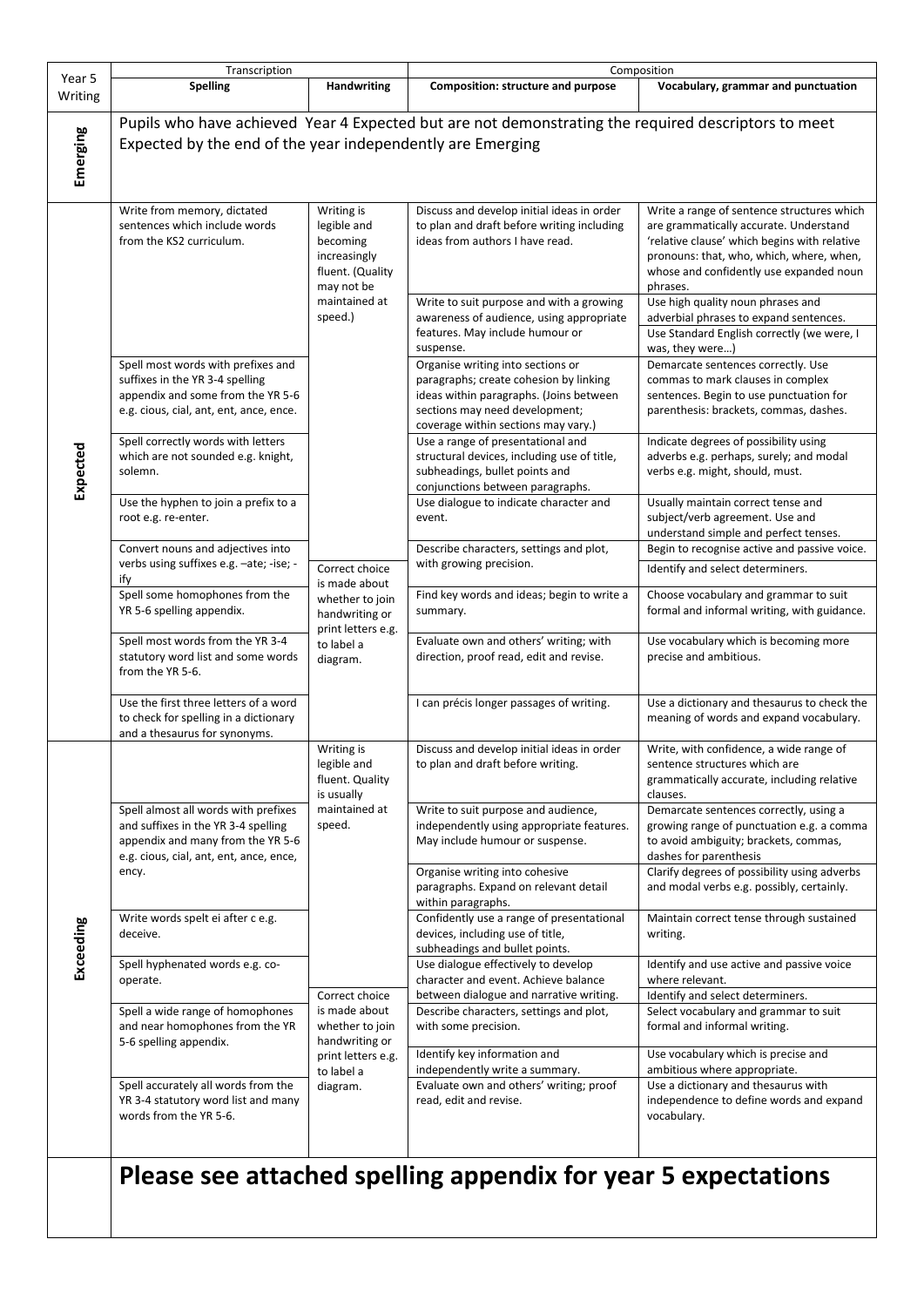|                   | Transcription                                                                                                                                                        |                                                                                                                      | Composition                                                                                                                                                                                     |                                                                                                                                                                                                                                         |  |
|-------------------|----------------------------------------------------------------------------------------------------------------------------------------------------------------------|----------------------------------------------------------------------------------------------------------------------|-------------------------------------------------------------------------------------------------------------------------------------------------------------------------------------------------|-----------------------------------------------------------------------------------------------------------------------------------------------------------------------------------------------------------------------------------------|--|
| Year 5<br>Writing | <b>Spelling</b>                                                                                                                                                      | Handwriting                                                                                                          | Composition: structure and purpose                                                                                                                                                              | Vocabulary, grammar and punctuation                                                                                                                                                                                                     |  |
| Emerging          | Pupils who have achieved Year 4 Expected but are not demonstrating the required descriptors to meet<br>Expected by the end of the year independently are Emerging    |                                                                                                                      |                                                                                                                                                                                                 |                                                                                                                                                                                                                                         |  |
| Expected          | Write from memory, dictated<br>sentences which include words<br>from the KS2 curriculum.                                                                             | Writing is<br>legible and<br>becoming<br>increasingly<br>fluent. (Quality<br>may not be                              | Discuss and develop initial ideas in order<br>to plan and draft before writing including<br>ideas from authors I have read.                                                                     | Write a range of sentence structures which<br>are grammatically accurate. Understand<br>'relative clause' which begins with relative<br>pronouns: that, who, which, where, when,<br>whose and confidently use expanded noun<br>phrases. |  |
|                   |                                                                                                                                                                      | maintained at<br>speed.)                                                                                             | Write to suit purpose and with a growing<br>awareness of audience, using appropriate<br>features. May include humour or<br>suspense.                                                            | Use high quality noun phrases and<br>adverbial phrases to expand sentences.<br>Use Standard English correctly (we were, I<br>was, they were)                                                                                            |  |
|                   | Spell most words with prefixes and<br>suffixes in the YR 3-4 spelling<br>appendix and some from the YR 5-6<br>e.g. cious, cial, ant, ent, ance, ence.                |                                                                                                                      | Organise writing into sections or<br>paragraphs; create cohesion by linking<br>ideas within paragraphs. (Joins between<br>sections may need development;<br>coverage within sections may vary.) | Demarcate sentences correctly. Use<br>commas to mark clauses in complex<br>sentences. Begin to use punctuation for<br>parenthesis: brackets, commas, dashes.                                                                            |  |
|                   | Spell correctly words with letters<br>which are not sounded e.g. knight,<br>solemn.                                                                                  |                                                                                                                      | Use a range of presentational and<br>structural devices, including use of title,<br>subheadings, bullet points and<br>conjunctions between paragraphs.                                          | Indicate degrees of possibility using<br>adverbs e.g. perhaps, surely; and modal<br>verbs e.g. might, should, must.                                                                                                                     |  |
|                   | Use the hyphen to join a prefix to a<br>root e.g. re-enter.                                                                                                          |                                                                                                                      | Use dialogue to indicate character and<br>event.                                                                                                                                                | Usually maintain correct tense and<br>subject/verb agreement. Use and<br>understand simple and perfect tenses.                                                                                                                          |  |
|                   | Convert nouns and adjectives into<br>verbs using suffixes e.g. -ate; -ise; -                                                                                         | Correct choice                                                                                                       | Describe characters, settings and plot,<br>with growing precision.                                                                                                                              | Begin to recognise active and passive voice.<br>Identify and select determiners.                                                                                                                                                        |  |
|                   | ify<br>Spell some homophones from the<br>YR 5-6 spelling appendix.                                                                                                   | is made about<br>whether to join<br>handwriting or<br>print letters e.g.<br>to label a<br>diagram.                   | Find key words and ideas; begin to write a<br>summary.                                                                                                                                          | Choose vocabulary and grammar to suit<br>formal and informal writing, with guidance.                                                                                                                                                    |  |
|                   | Spell most words from the YR 3-4<br>statutory word list and some words<br>from the YR 5-6.                                                                           |                                                                                                                      | Evaluate own and others' writing; with<br>direction, proof read, edit and revise.                                                                                                               | Use vocabulary which is becoming more<br>precise and ambitious.                                                                                                                                                                         |  |
|                   | Use the first three letters of a word<br>to check for spelling in a dictionary<br>and a thesaurus for synonyms.                                                      |                                                                                                                      | I can précis longer passages of writing.                                                                                                                                                        | Use a dictionary and thesaurus to check the<br>meaning of words and expand vocabulary.                                                                                                                                                  |  |
| Exceeding         |                                                                                                                                                                      | Writing is<br>legible and<br>fluent. Quality<br>is usually                                                           | Discuss and develop initial ideas in order<br>to plan and draft before writing.                                                                                                                 | Write, with confidence, a wide range of<br>sentence structures which are<br>grammatically accurate, including relative<br>clauses.                                                                                                      |  |
|                   | Spell almost all words with prefixes<br>and suffixes in the YR 3-4 spelling<br>appendix and many from the YR 5-6<br>e.g. cious, cial, ant, ent, ance, ence,<br>ency. | maintained at<br>speed.                                                                                              | Write to suit purpose and audience,<br>independently using appropriate features.<br>May include humour or suspense.                                                                             | Demarcate sentences correctly, using a<br>growing range of punctuation e.g. a comma<br>to avoid ambiguity; brackets, commas,<br>dashes for parenthesis                                                                                  |  |
|                   |                                                                                                                                                                      |                                                                                                                      | Organise writing into cohesive<br>paragraphs. Expand on relevant detail<br>within paragraphs.                                                                                                   | Clarify degrees of possibility using adverbs<br>and modal verbs e.g. possibly, certainly.                                                                                                                                               |  |
|                   | Write words spelt ei after c e.g.<br>deceive.                                                                                                                        |                                                                                                                      | Confidently use a range of presentational<br>devices, including use of title,<br>subheadings and bullet points.                                                                                 | Maintain correct tense through sustained<br>writing.                                                                                                                                                                                    |  |
|                   | Spell hyphenated words e.g. co-<br>operate.                                                                                                                          |                                                                                                                      | Use dialogue effectively to develop<br>character and event. Achieve balance                                                                                                                     | Identify and use active and passive voice<br>where relevant.                                                                                                                                                                            |  |
|                   | Spell a wide range of homophones<br>and near homophones from the YR                                                                                                  | Correct choice<br>is made about<br>whether to join<br>handwriting or<br>print letters e.g.<br>to label a<br>diagram. | between dialogue and narrative writing.<br>Describe characters, settings and plot,<br>with some precision.                                                                                      | Identify and select determiners.<br>Select vocabulary and grammar to suit<br>formal and informal writing.                                                                                                                               |  |
|                   | 5-6 spelling appendix.                                                                                                                                               |                                                                                                                      | Identify key information and<br>independently write a summary.                                                                                                                                  | Use vocabulary which is precise and<br>ambitious where appropriate.                                                                                                                                                                     |  |
|                   | Spell accurately all words from the<br>YR 3-4 statutory word list and many<br>words from the YR 5-6.                                                                 |                                                                                                                      | Evaluate own and others' writing; proof<br>read, edit and revise.                                                                                                                               | Use a dictionary and thesaurus with<br>independence to define words and expand<br>vocabulary.                                                                                                                                           |  |
|                   |                                                                                                                                                                      |                                                                                                                      | Please see attached spelling appendix for year 5 expectations                                                                                                                                   |                                                                                                                                                                                                                                         |  |